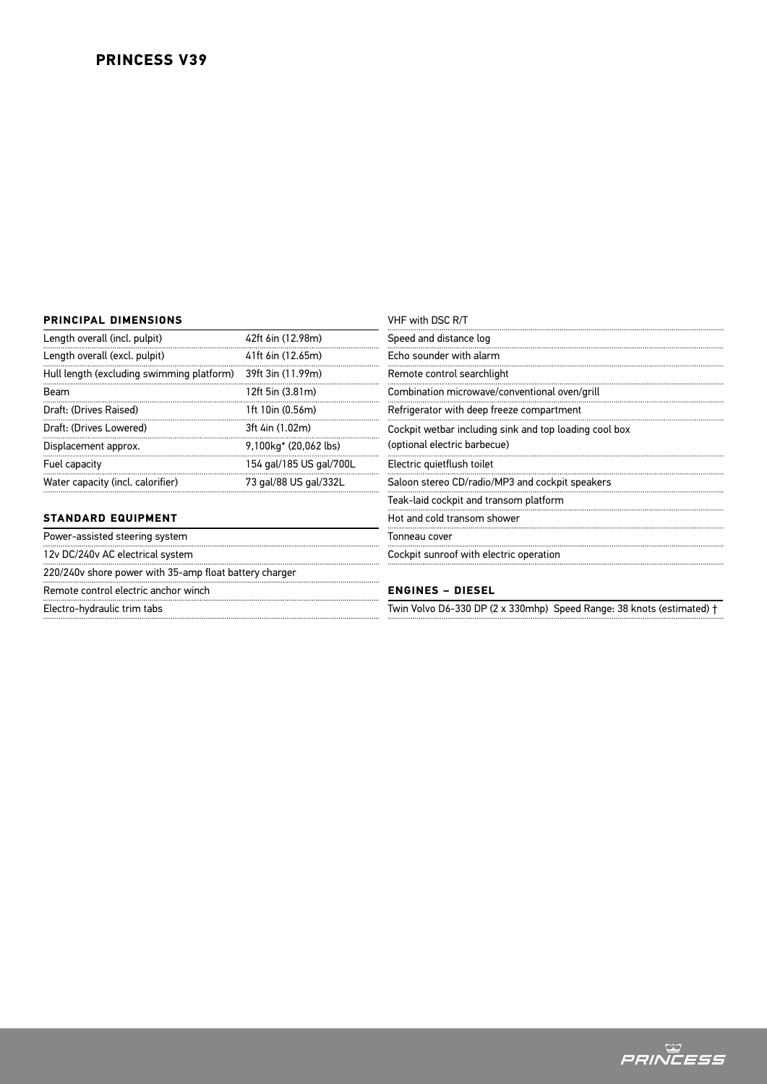# **PRINCESS V39**

# **PRINCIPAL DIMENSIONS**

| Length overall (incl. pulpit)             | 42ft 6in (12.98m)       |  |
|-------------------------------------------|-------------------------|--|
| Length overall (excl. pulpit)             | 41ft 6in (12.65m)       |  |
| Hull length (excluding swimming platform) | 39ft 3in (11.99m)       |  |
| <b>Beam</b>                               | 12ft 5in (3.81m)        |  |
| Draft: (Drives Raised)                    | 1ft 10in (0.56m)        |  |
| Draft: (Drives Lowered)                   | 3ft 4in (1.02m)         |  |
| Displacement approx.                      | 9,100kg* (20,062 lbs)   |  |
| Fuel capacity                             | 154 gal/185 US gal/700L |  |
| Water capacity (incl. calorifier)         | 73 gal/88 US gal/332L   |  |
|                                           |                         |  |

# **STANDARD EQUIPMENT**

Power-assisted steering system 12v DC/240v AC electrical system 220/240v shore power with 35-amp float battery charger Remote control electric anchor winch Electro-hydraulic trim tabs

| VHF with DSC R/T |  |  |  |
|------------------|--|--|--|
|------------------|--|--|--|

Speed and distance log

Echo sounder with alarm Remote control searchlight Combination microwave/conventional oven/grill

Refrigerator with deep freeze compartment

Cockpit wetbar including sink and top loading cool box (optional electric barbecue)

Electric quietflush toilet Saloon stereo CD/radio/MP3 and cockpit speakers

Teak-laid cockpit and transom platform

Hot and cold transom shower

Tonneau cover

Cockpit sunroof with electric operation

## **ENGINES – DIESEL**

Twin Volvo D6-330 DP (2 x 330mhp) Speed Range: 38 knots (estimated) †

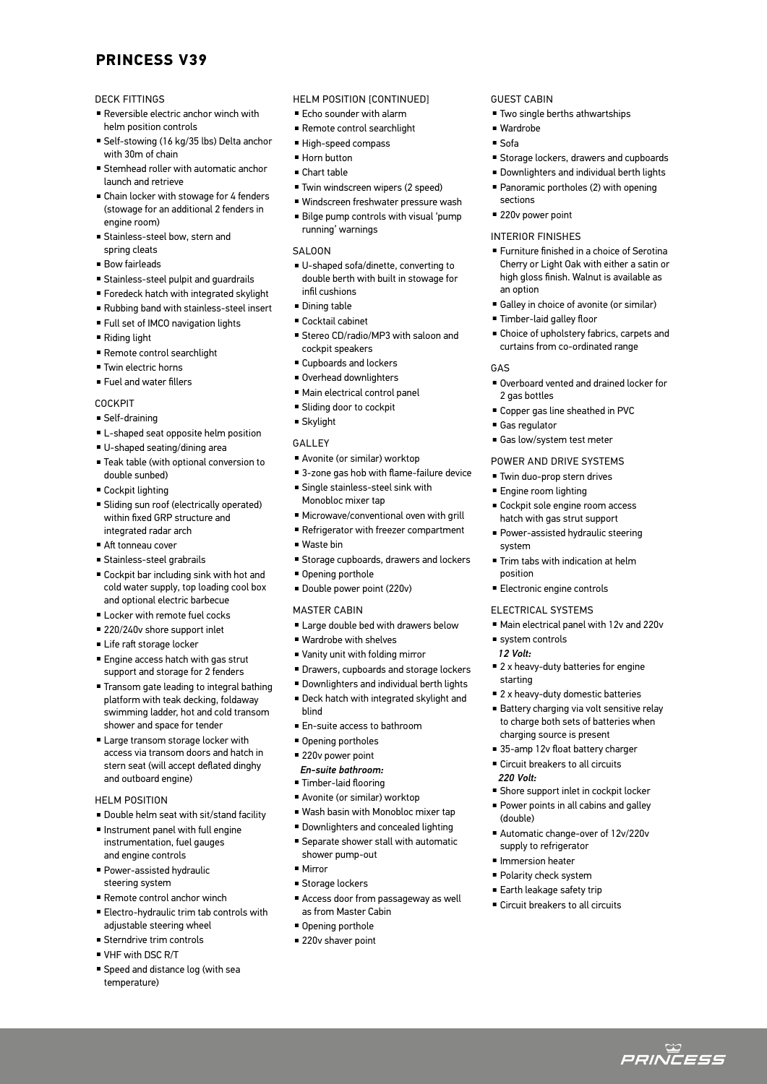# **PRINCESS V39**

## DECK FITTINGS

- $\blacksquare$  Reversible electric anchor winch with helm position controls
- Self-stowing (16 kg/35 lbs) Delta anchor with 30m of chain
- <sup>n</sup> Stemhead roller with automatic anchor launch and retrieve
- Chain locker with stowage for 4 fenders (stowage for an additional 2 fenders in engine room)
- **E** Stainless-steel bow, stern and spring cleats
- **Bow fairleads**
- **Example Stainless-steel pulpit and quardrails**
- $\blacksquare$  Foredeck hatch with integrated skylight
- <sup>n</sup> Rubbing band with stainless-steel insert
- <sup>n</sup> Full set of IMCO navigation lights
- $\blacksquare$  Riding light
- <sup>n</sup> Remote control searchlight
- <sup>n</sup> Twin electric horns
- $\blacksquare$  Fuel and water fillers

#### **COCKPIT**

- <sup>n</sup> Self-draining
- L-shaped seat opposite helm position
- U-shaped seating/dining area
- Teak table (with optional conversion to double sunbed)
- Cockpit lighting
- <sup>n</sup> Sliding sun roof (electrically operated) within fixed GRP structure and integrated radar arch
- Aft tonneau cover
- <sup>n</sup> Stainless-steel grabrails
- $\blacksquare$  Cockpit bar including sink with hot and cold water supply, top loading cool box and optional electric barbecue
- **E** Locker with remote fuel cocks
- 220/240v shore support inlet
- Life raft storage locker
- **Engine access hatch with gas strut** support and storage for 2 fenders
- Transom gate leading to integral bathing platform with teak decking, foldaway swimming ladder, hot and cold transom shower and space for tender
- Large transom storage locker with access via transom doors and hatch in stern seat (will accept deflated dinghy and outboard engine)

#### HELM POSITION

- Double helm seat with sit/stand facility
- $\blacksquare$  Instrument panel with full engine instrumentation, fuel gauges and engine controls
- **Power-assisted hydraulic** steering system
- $R$ emote control anchor winch
- <sup>n</sup> Electro-hydraulic trim tab controls with adiustable steering wheel
- **E** Sterndrive trim controls
- VHF with DSC R/T
- **B** Speed and distance log (with sea temperature)

## HELM POSITION [CONTINUED]

- $\blacksquare$  Echo sounder with alarm
- <sup>n</sup> Remote control searchlight
- High-speed compass
- Horn button
- <sup>n</sup> Chart table
- Twin windscreen wipers (2 speed)
- Windscreen freshwater pressure wash <sup>n</sup> Bilge pump controls with visual 'pump running' warnings

#### SALOON

- U-shaped sofa/dinette, converting to double berth with built in stowage for infil cushions
- Dining table
- $Cocktail$  cabinet
- Stereo CD/radio/MP3 with saloon and cockpit speakers
- <sup>n</sup> Cupboards and lockers
- Overhead downlighters
- $\blacksquare$  Main electrical control panel
- Sliding door to cockpit
- Skylight

#### GALLEY

- Avonite (or similar) worktop
- 3-zone gas hob with flame-failure device
- **E** Single stainless-steel sink with Monobloc mixer tap
- Microwave/conventional oven with grill
- Refrigerator with freezer compartment
- Waste bin
- **Exercise Storage cupboards, drawers and lockers**
- Opening porthole
- Double power point (220v)

## MASTER CABIN

- Large double bed with drawers below
- Wardrobe with shelves
- <sup>n</sup> Vanity unit with folding mirror
- **Drawers, cupboards and storage lockers**
- **Downlighters and individual berth lights**
- <sup>n</sup> Deck hatch with integrated skylight and blind
- En-suite access to bathroom
- **Opening portholes**
- 220v power point
- *En-suite bathroom:*
- Timber-laid flooring
- Avonite (or similar) worktop
- Wash basin with Monobloc mixer tap
- Downlighters and concealed lighting
- <sup>n</sup> Separate shower stall with automatic shower pump-out
- $Mirror$
- <sup>n</sup> Storage lockers
- Access door from passageway as well as from Master Cabin
- Opening porthole
- $\blacksquare$  220v shaver point

## GUEST CABIN

- Two single berths athwartships
- Wardrobe
- <sup>n</sup> Sofa

GAS

2 gas bottles

<sup>n</sup> Gas regulator

system

position

starting

*220 Volt:*

(double)

 $\square$  system controls *12 Volt:*

- **Exercise Storage lockers, drawers and cupboards**
- **Downlighters and individual berth lights**
- **Panoramic portholes (2) with opening** sections
- 220v power point

#### INTERIOR FINISHES

■ Timber-laid galley floor

■ Furniture finished in a choice of Serotina Cherry or Light Oak with either a satin or high gloss finish. Walnut is available as an option

<sup>n</sup> Choice of upholstery fabrics, carpets and curtains from co-ordinated range

■ Overboard vented and drained locker for

<sup>n</sup> Copper gas line sheathed in PVC

■ Cockpit sole engine room access hatch with gas strut support **Power-assisted hydraulic steering** 

**Trim tabs with indication at helm** 

<sup>n</sup> Main electrical panel with 12v and 220v

 $\blacksquare$  2 x heavy-duty batteries for engine

 $\blacksquare$  2 x heavy-duty domestic batteries **Battery charging via volt sensitive relay** to charge both sets of batteries when

**Example 1** Shore support inlet in cockpit locker <sup>n</sup> Power points in all cabins and galley

■ Automatic change-over of 12v/220v

ت<br>*PRINCESS* 

supply to refrigerator **n** Immersion heater ■ Polarity check system ■ Earth leakage safety trip  $\blacksquare$  Circuit breakers to all circuits

charging source is present ■ 35-amp 12v float battery charger ■ Circuit breakers to all circuits

**Electronic engine controls** ELECTRICAL SYSTEMS

Gas low/system test meter POWER AND DRIVE SYSTEMS ■ Twin duo-prop stern drives ■ Engine room lighting

<sup>n</sup> Galley in choice of avonite (or similar)